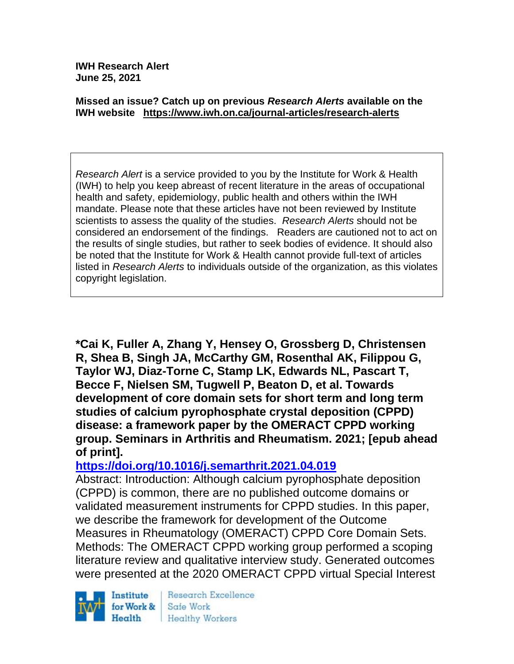**IWH Research Alert June 25, 2021**

#### **Missed an issue? Catch up on previous** *Research Alerts* **available on the [IWH website](http://www.iwh.on.ca/research-alerts) <https://www.iwh.on.ca/journal-articles/research-alerts>**

*Research Alert* is a service provided to you by the Institute for Work & Health (IWH) to help you keep abreast of recent literature in the areas of occupational health and safety, epidemiology, public health and others within the IWH mandate. Please note that these articles have not been reviewed by Institute scientists to assess the quality of the studies. *Research Alerts* should not be considered an endorsement of the findings. Readers are cautioned not to act on the results of single studies, but rather to seek bodies of evidence. It should also be noted that the Institute for Work & Health cannot provide full-text of articles listed in *Research Alerts* to individuals outside of the organization, as this violates copyright legislation.

**\*Cai K, Fuller A, Zhang Y, Hensey O, Grossberg D, Christensen R, Shea B, Singh JA, McCarthy GM, Rosenthal AK, Filippou G, Taylor WJ, Diaz-Torne C, Stamp LK, Edwards NL, Pascart T, Becce F, Nielsen SM, Tugwell P, Beaton D, et al. Towards development of core domain sets for short term and long term studies of calcium pyrophosphate crystal deposition (CPPD) disease: a framework paper by the OMERACT CPPD working group. Seminars in Arthritis and Rheumatism. 2021; [epub ahead of print].**

### **<https://doi.org/10.1016/j.semarthrit.2021.04.019>**

Abstract: Introduction: Although calcium pyrophosphate deposition (CPPD) is common, there are no published outcome domains or validated measurement instruments for CPPD studies. In this paper, we describe the framework for development of the Outcome Measures in Rheumatology (OMERACT) CPPD Core Domain Sets. Methods: The OMERACT CPPD working group performed a scoping literature review and qualitative interview study. Generated outcomes were presented at the 2020 OMERACT CPPD virtual Special Interest

Institute for Work & Health

Research Excellence Safe Work **Healthy Workers**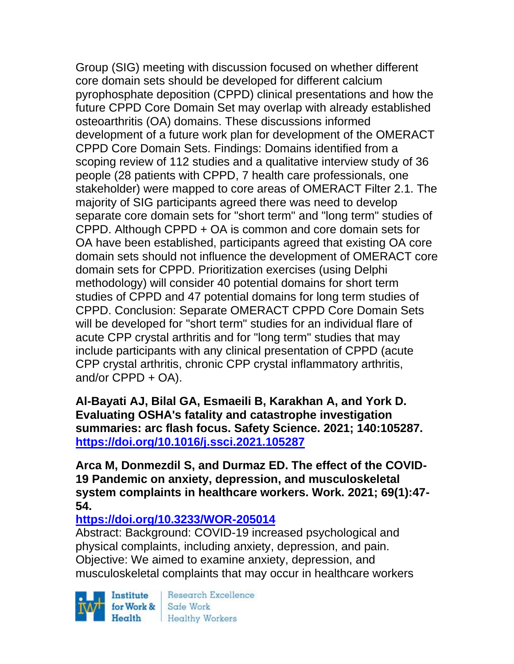Group (SIG) meeting with discussion focused on whether different core domain sets should be developed for different calcium pyrophosphate deposition (CPPD) clinical presentations and how the future CPPD Core Domain Set may overlap with already established osteoarthritis (OA) domains. These discussions informed development of a future work plan for development of the OMERACT CPPD Core Domain Sets. Findings: Domains identified from a scoping review of 112 studies and a qualitative interview study of 36 people (28 patients with CPPD, 7 health care professionals, one stakeholder) were mapped to core areas of OMERACT Filter 2.1. The majority of SIG participants agreed there was need to develop separate core domain sets for "short term" and "long term" studies of CPPD. Although CPPD + OA is common and core domain sets for OA have been established, participants agreed that existing OA core domain sets should not influence the development of OMERACT core domain sets for CPPD. Prioritization exercises (using Delphi methodology) will consider 40 potential domains for short term studies of CPPD and 47 potential domains for long term studies of CPPD. Conclusion: Separate OMERACT CPPD Core Domain Sets will be developed for "short term" studies for an individual flare of acute CPP crystal arthritis and for "long term" studies that may include participants with any clinical presentation of CPPD (acute CPP crystal arthritis, chronic CPP crystal inflammatory arthritis, and/or CPPD + OA).

**Al-Bayati AJ, Bilal GA, Esmaeili B, Karakhan A, and York D. Evaluating OSHA's fatality and catastrophe investigation summaries: arc flash focus. Safety Science. 2021; 140:105287. <https://doi.org/10.1016/j.ssci.2021.105287>** 

**Arca M, Donmezdil S, and Durmaz ED. The effect of the COVID-19 Pandemic on anxiety, depression, and musculoskeletal system complaints in healthcare workers. Work. 2021; 69(1):47- 54.** 

# **<https://doi.org/10.3233/WOR-205014>**

Abstract: Background: COVID-19 increased psychological and physical complaints, including anxiety, depression, and pain. Objective: We aimed to examine anxiety, depression, and musculoskeletal complaints that may occur in healthcare workers

Institute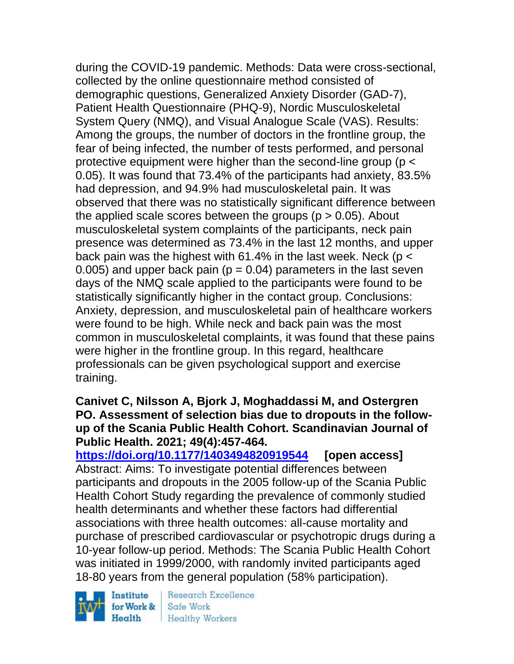during the COVID-19 pandemic. Methods: Data were cross-sectional, collected by the online questionnaire method consisted of demographic questions, Generalized Anxiety Disorder (GAD-7), Patient Health Questionnaire (PHQ-9), Nordic Musculoskeletal System Query (NMQ), and Visual Analogue Scale (VAS). Results: Among the groups, the number of doctors in the frontline group, the fear of being infected, the number of tests performed, and personal protective equipment were higher than the second-line group (p < 0.05). It was found that 73.4% of the participants had anxiety, 83.5% had depression, and 94.9% had musculoskeletal pain. It was observed that there was no statistically significant difference between the applied scale scores between the groups ( $p > 0.05$ ). About musculoskeletal system complaints of the participants, neck pain presence was determined as 73.4% in the last 12 months, and upper back pain was the highest with 61.4% in the last week. Neck ( $p <$ 0.005) and upper back pain ( $p = 0.04$ ) parameters in the last seven days of the NMQ scale applied to the participants were found to be statistically significantly higher in the contact group. Conclusions: Anxiety, depression, and musculoskeletal pain of healthcare workers were found to be high. While neck and back pain was the most common in musculoskeletal complaints, it was found that these pains were higher in the frontline group. In this regard, healthcare professionals can be given psychological support and exercise training.

#### **Canivet C, Nilsson A, Bjork J, Moghaddassi M, and Ostergren PO. Assessment of selection bias due to dropouts in the followup of the Scania Public Health Cohort. Scandinavian Journal of Public Health. 2021; 49(4):457-464.**

**<https://doi.org/10.1177/1403494820919544> [open access]** Abstract: Aims: To investigate potential differences between participants and dropouts in the 2005 follow-up of the Scania Public Health Cohort Study regarding the prevalence of commonly studied health determinants and whether these factors had differential associations with three health outcomes: all-cause mortality and purchase of prescribed cardiovascular or psychotropic drugs during a 10-year follow-up period. Methods: The Scania Public Health Cohort was initiated in 1999/2000, with randomly invited participants aged 18-80 years from the general population (58% participation).

Institute for Work &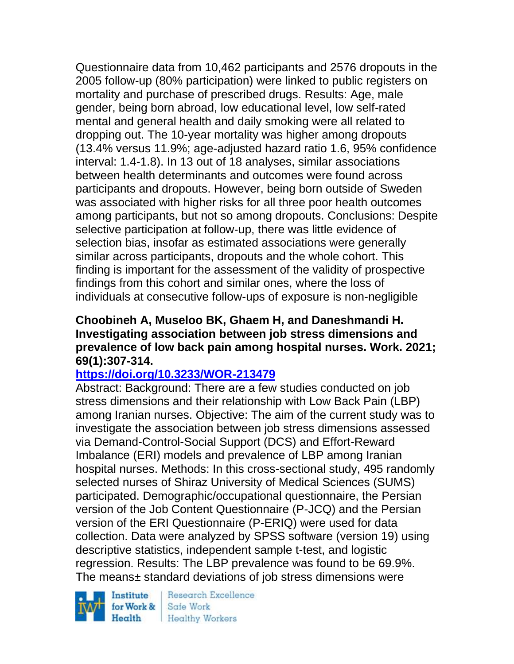Questionnaire data from 10,462 participants and 2576 dropouts in the 2005 follow-up (80% participation) were linked to public registers on mortality and purchase of prescribed drugs. Results: Age, male gender, being born abroad, low educational level, low self-rated mental and general health and daily smoking were all related to dropping out. The 10-year mortality was higher among dropouts (13.4% versus 11.9%; age-adjusted hazard ratio 1.6, 95% confidence interval: 1.4-1.8). In 13 out of 18 analyses, similar associations between health determinants and outcomes were found across participants and dropouts. However, being born outside of Sweden was associated with higher risks for all three poor health outcomes among participants, but not so among dropouts. Conclusions: Despite selective participation at follow-up, there was little evidence of selection bias, insofar as estimated associations were generally similar across participants, dropouts and the whole cohort. This finding is important for the assessment of the validity of prospective findings from this cohort and similar ones, where the loss of individuals at consecutive follow-ups of exposure is non-negligible

#### **Choobineh A, Museloo BK, Ghaem H, and Daneshmandi H. Investigating association between job stress dimensions and prevalence of low back pain among hospital nurses. Work. 2021; 69(1):307-314.**

# **<https://doi.org/10.3233/WOR-213479>**

Abstract: Background: There are a few studies conducted on job stress dimensions and their relationship with Low Back Pain (LBP) among Iranian nurses. Objective: The aim of the current study was to investigate the association between job stress dimensions assessed via Demand-Control-Social Support (DCS) and Effort-Reward Imbalance (ERI) models and prevalence of LBP among Iranian hospital nurses. Methods: In this cross-sectional study, 495 randomly selected nurses of Shiraz University of Medical Sciences (SUMS) participated. Demographic/occupational questionnaire, the Persian version of the Job Content Questionnaire (P-JCQ) and the Persian version of the ERI Questionnaire (P-ERIQ) were used for data collection. Data were analyzed by SPSS software (version 19) using descriptive statistics, independent sample t-test, and logistic regression. Results: The LBP prevalence was found to be 69.9%. The means± standard deviations of job stress dimensions were

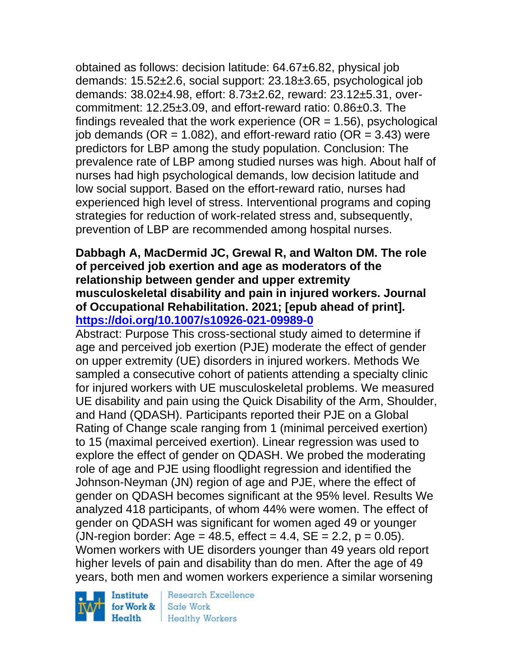obtained as follows: decision latitude: 64.67±6.82, physical job demands: 15.52±2.6, social support: 23.18±3.65, psychological job demands: 38.02±4.98, effort: 8.73±2.62, reward: 23.12±5.31, overcommitment: 12.25±3.09, and effort-reward ratio: 0.86±0.3. The findings revealed that the work experience  $(OR = 1.56)$ , psychological job demands ( $OR = 1.082$ ), and effort-reward ratio ( $OR = 3.43$ ) were predictors for LBP among the study population. Conclusion: The prevalence rate of LBP among studied nurses was high. About half of nurses had high psychological demands, low decision latitude and low social support. Based on the effort-reward ratio, nurses had experienced high level of stress. Interventional programs and coping strategies for reduction of work-related stress and, subsequently, prevention of LBP are recommended among hospital nurses.

#### **Dabbagh A, MacDermid JC, Grewal R, and Walton DM. The role of perceived job exertion and age as moderators of the relationship between gender and upper extremity musculoskeletal disability and pain in injured workers. Journal of Occupational Rehabilitation. 2021; [epub ahead of print]. <https://doi.org/10.1007/s10926-021-09989-0>**

Abstract: Purpose This cross-sectional study aimed to determine if age and perceived job exertion (PJE) moderate the effect of gender on upper extremity (UE) disorders in injured workers. Methods We sampled a consecutive cohort of patients attending a specialty clinic for injured workers with UE musculoskeletal problems. We measured UE disability and pain using the Quick Disability of the Arm, Shoulder, and Hand (QDASH). Participants reported their PJE on a Global Rating of Change scale ranging from 1 (minimal perceived exertion) to 15 (maximal perceived exertion). Linear regression was used to explore the effect of gender on QDASH. We probed the moderating role of age and PJE using floodlight regression and identified the Johnson-Neyman (JN) region of age and PJE, where the effect of gender on QDASH becomes significant at the 95% level. Results We analyzed 418 participants, of whom 44% were women. The effect of gender on QDASH was significant for women aged 49 or younger (JN-region border: Age = 48.5, effect = 4.4,  $SE = 2.2$ ,  $p = 0.05$ ). Women workers with UE disorders younger than 49 years old report higher levels of pain and disability than do men. After the age of 49 years, both men and women workers experience a similar worsening

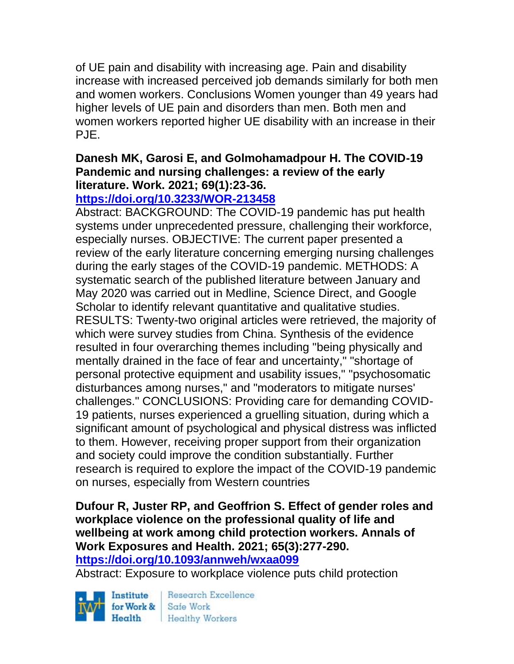of UE pain and disability with increasing age. Pain and disability increase with increased perceived job demands similarly for both men and women workers. Conclusions Women younger than 49 years had higher levels of UE pain and disorders than men. Both men and women workers reported higher UE disability with an increase in their PJE.

### **Danesh MK, Garosi E, and Golmohamadpour H. The COVID-19 Pandemic and nursing challenges: a review of the early literature. Work. 2021; 69(1):23-36.**

# **<https://doi.org/10.3233/WOR-213458>**

Abstract: BACKGROUND: The COVID-19 pandemic has put health systems under unprecedented pressure, challenging their workforce, especially nurses. OBJECTIVE: The current paper presented a review of the early literature concerning emerging nursing challenges during the early stages of the COVID-19 pandemic. METHODS: A systematic search of the published literature between January and May 2020 was carried out in Medline, Science Direct, and Google Scholar to identify relevant quantitative and qualitative studies. RESULTS: Twenty-two original articles were retrieved, the majority of which were survey studies from China. Synthesis of the evidence resulted in four overarching themes including "being physically and mentally drained in the face of fear and uncertainty," "shortage of personal protective equipment and usability issues," "psychosomatic disturbances among nurses," and "moderators to mitigate nurses' challenges." CONCLUSIONS: Providing care for demanding COVID-19 patients, nurses experienced a gruelling situation, during which a significant amount of psychological and physical distress was inflicted to them. However, receiving proper support from their organization and society could improve the condition substantially. Further research is required to explore the impact of the COVID-19 pandemic on nurses, especially from Western countries

# **Dufour R, Juster RP, and Geoffrion S. Effect of gender roles and workplace violence on the professional quality of life and wellbeing at work among child protection workers. Annals of Work Exposures and Health. 2021; 65(3):277-290.**

**<https://doi.org/10.1093/annweh/wxaa099>** 

Abstract: Exposure to workplace violence puts child protection

Institute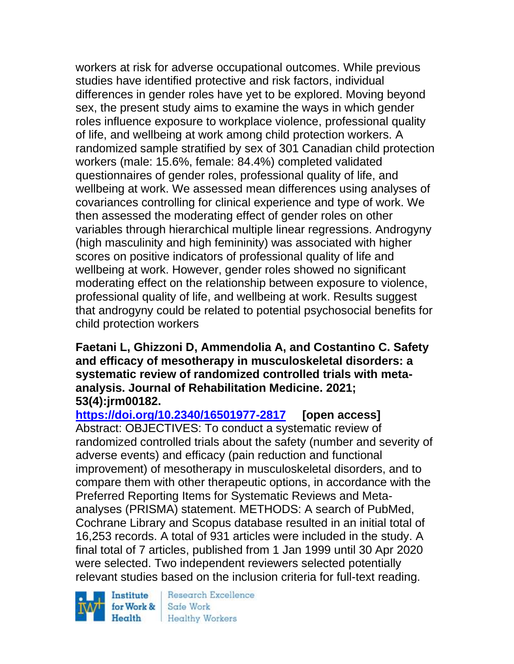workers at risk for adverse occupational outcomes. While previous studies have identified protective and risk factors, individual differences in gender roles have yet to be explored. Moving beyond sex, the present study aims to examine the ways in which gender roles influence exposure to workplace violence, professional quality of life, and wellbeing at work among child protection workers. A randomized sample stratified by sex of 301 Canadian child protection workers (male: 15.6%, female: 84.4%) completed validated questionnaires of gender roles, professional quality of life, and wellbeing at work. We assessed mean differences using analyses of covariances controlling for clinical experience and type of work. We then assessed the moderating effect of gender roles on other variables through hierarchical multiple linear regressions. Androgyny (high masculinity and high femininity) was associated with higher scores on positive indicators of professional quality of life and wellbeing at work. However, gender roles showed no significant moderating effect on the relationship between exposure to violence, professional quality of life, and wellbeing at work. Results suggest that androgyny could be related to potential psychosocial benefits for child protection workers

#### **Faetani L, Ghizzoni D, Ammendolia A, and Costantino C. Safety and efficacy of mesotherapy in musculoskeletal disorders: a systematic review of randomized controlled trials with metaanalysis. Journal of Rehabilitation Medicine. 2021; 53(4):jrm00182.**

**<https://doi.org/10.2340/16501977-2817> [open access]** Abstract: OBJECTIVES: To conduct a systematic review of randomized controlled trials about the safety (number and severity of adverse events) and efficacy (pain reduction and functional improvement) of mesotherapy in musculoskeletal disorders, and to compare them with other therapeutic options, in accordance with the Preferred Reporting Items for Systematic Reviews and Metaanalyses (PRISMA) statement. METHODS: A search of PubMed, Cochrane Library and Scopus database resulted in an initial total of 16,253 records. A total of 931 articles were included in the study. A final total of 7 articles, published from 1 Jan 1999 until 30 Apr 2020 were selected. Two independent reviewers selected potentially relevant studies based on the inclusion criteria for full-text reading.

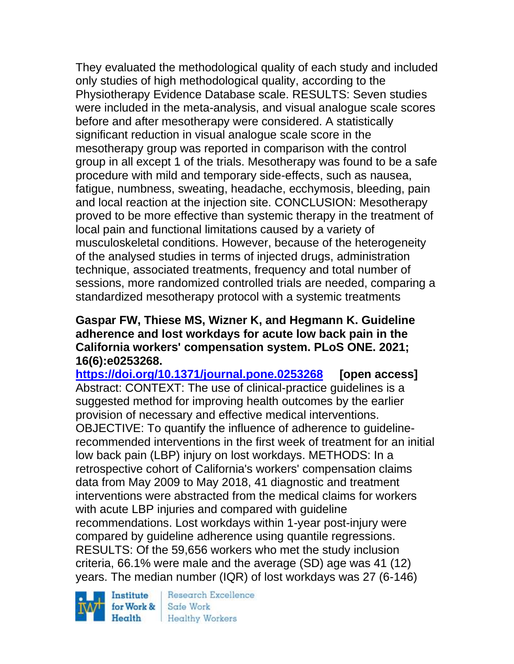They evaluated the methodological quality of each study and included only studies of high methodological quality, according to the Physiotherapy Evidence Database scale. RESULTS: Seven studies were included in the meta-analysis, and visual analogue scale scores before and after mesotherapy were considered. A statistically significant reduction in visual analogue scale score in the mesotherapy group was reported in comparison with the control group in all except 1 of the trials. Mesotherapy was found to be a safe procedure with mild and temporary side-effects, such as nausea, fatigue, numbness, sweating, headache, ecchymosis, bleeding, pain and local reaction at the injection site. CONCLUSION: Mesotherapy proved to be more effective than systemic therapy in the treatment of local pain and functional limitations caused by a variety of musculoskeletal conditions. However, because of the heterogeneity of the analysed studies in terms of injected drugs, administration technique, associated treatments, frequency and total number of sessions, more randomized controlled trials are needed, comparing a standardized mesotherapy protocol with a systemic treatments

**Gaspar FW, Thiese MS, Wizner K, and Hegmann K. Guideline adherence and lost workdays for acute low back pain in the California workers' compensation system. PLoS ONE. 2021; 16(6):e0253268.**

**<https://doi.org/10.1371/journal.pone.0253268> [open access]** Abstract: CONTEXT: The use of clinical-practice guidelines is a suggested method for improving health outcomes by the earlier provision of necessary and effective medical interventions. OBJECTIVE: To quantify the influence of adherence to guidelinerecommended interventions in the first week of treatment for an initial low back pain (LBP) injury on lost workdays. METHODS: In a retrospective cohort of California's workers' compensation claims data from May 2009 to May 2018, 41 diagnostic and treatment interventions were abstracted from the medical claims for workers with acute LBP injuries and compared with guideline recommendations. Lost workdays within 1-year post-injury were compared by guideline adherence using quantile regressions. RESULTS: Of the 59,656 workers who met the study inclusion criteria, 66.1% were male and the average (SD) age was 41 (12) years. The median number (IQR) of lost workdays was 27 (6-146)

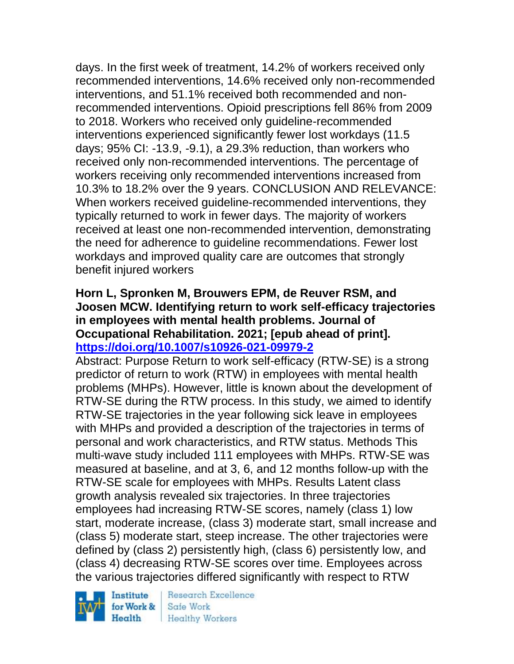days. In the first week of treatment, 14.2% of workers received only recommended interventions, 14.6% received only non-recommended interventions, and 51.1% received both recommended and nonrecommended interventions. Opioid prescriptions fell 86% from 2009 to 2018. Workers who received only guideline-recommended interventions experienced significantly fewer lost workdays (11.5 days; 95% CI: -13.9, -9.1), a 29.3% reduction, than workers who received only non-recommended interventions. The percentage of workers receiving only recommended interventions increased from 10.3% to 18.2% over the 9 years. CONCLUSION AND RELEVANCE: When workers received guideline-recommended interventions, they typically returned to work in fewer days. The majority of workers received at least one non-recommended intervention, demonstrating the need for adherence to guideline recommendations. Fewer lost workdays and improved quality care are outcomes that strongly benefit injured workers

### **Horn L, Spronken M, Brouwers EPM, de Reuver RSM, and Joosen MCW. Identifying return to work self-efficacy trajectories in employees with mental health problems. Journal of Occupational Rehabilitation. 2021; [epub ahead of print]. <https://doi.org/10.1007/s10926-021-09979-2>**

Abstract: Purpose Return to work self-efficacy (RTW-SE) is a strong predictor of return to work (RTW) in employees with mental health problems (MHPs). However, little is known about the development of RTW-SE during the RTW process. In this study, we aimed to identify RTW-SE trajectories in the year following sick leave in employees with MHPs and provided a description of the trajectories in terms of personal and work characteristics, and RTW status. Methods This multi-wave study included 111 employees with MHPs. RTW-SE was measured at baseline, and at 3, 6, and 12 months follow-up with the RTW-SE scale for employees with MHPs. Results Latent class growth analysis revealed six trajectories. In three trajectories employees had increasing RTW-SE scores, namely (class 1) low start, moderate increase, (class 3) moderate start, small increase and (class 5) moderate start, steep increase. The other trajectories were defined by (class 2) persistently high, (class 6) persistently low, and (class 4) decreasing RTW-SE scores over time. Employees across the various trajectories differed significantly with respect to RTW

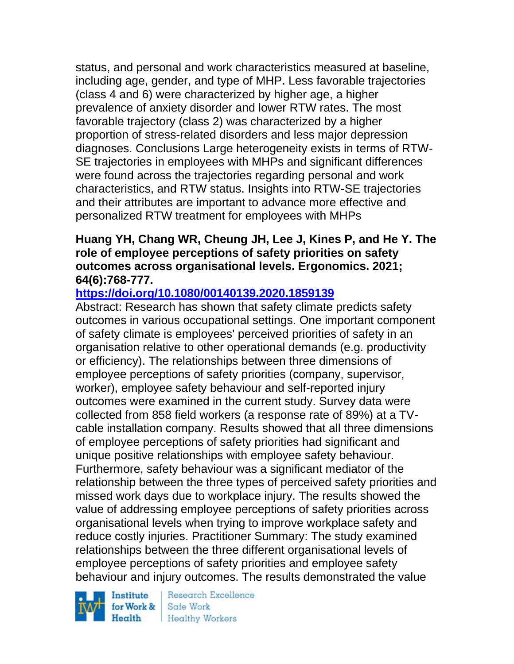status, and personal and work characteristics measured at baseline, including age, gender, and type of MHP. Less favorable trajectories (class 4 and 6) were characterized by higher age, a higher prevalence of anxiety disorder and lower RTW rates. The most favorable trajectory (class 2) was characterized by a higher proportion of stress-related disorders and less major depression diagnoses. Conclusions Large heterogeneity exists in terms of RTW-SE trajectories in employees with MHPs and significant differences were found across the trajectories regarding personal and work characteristics, and RTW status. Insights into RTW-SE trajectories and their attributes are important to advance more effective and personalized RTW treatment for employees with MHPs

#### **Huang YH, Chang WR, Cheung JH, Lee J, Kines P, and He Y. The role of employee perceptions of safety priorities on safety outcomes across organisational levels. Ergonomics. 2021; 64(6):768-777.**

### **<https://doi.org/10.1080/00140139.2020.1859139>**

Abstract: Research has shown that safety climate predicts safety outcomes in various occupational settings. One important component of safety climate is employees' perceived priorities of safety in an organisation relative to other operational demands (e.g. productivity or efficiency). The relationships between three dimensions of employee perceptions of safety priorities (company, supervisor, worker), employee safety behaviour and self-reported injury outcomes were examined in the current study. Survey data were collected from 858 field workers (a response rate of 89%) at a TVcable installation company. Results showed that all three dimensions of employee perceptions of safety priorities had significant and unique positive relationships with employee safety behaviour. Furthermore, safety behaviour was a significant mediator of the relationship between the three types of perceived safety priorities and missed work days due to workplace injury. The results showed the value of addressing employee perceptions of safety priorities across organisational levels when trying to improve workplace safety and reduce costly injuries. Practitioner Summary: The study examined relationships between the three different organisational levels of employee perceptions of safety priorities and employee safety behaviour and injury outcomes. The results demonstrated the value

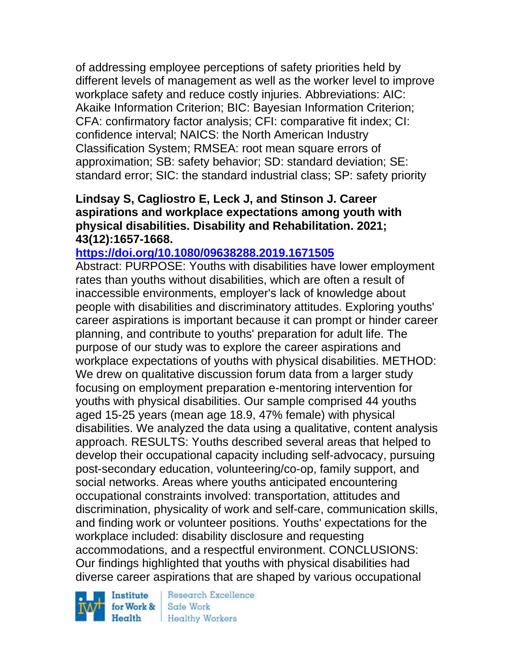of addressing employee perceptions of safety priorities held by different levels of management as well as the worker level to improve workplace safety and reduce costly injuries. Abbreviations: AIC: Akaike Information Criterion; BIC: Bayesian Information Criterion; CFA: confirmatory factor analysis; CFI: comparative fit index; CI: confidence interval; NAICS: the North American Industry Classification System; RMSEA: root mean square errors of approximation; SB: safety behavior; SD: standard deviation; SE: standard error; SIC: the standard industrial class; SP: safety priority

### **Lindsay S, Cagliostro E, Leck J, and Stinson J. Career aspirations and workplace expectations among youth with physical disabilities. Disability and Rehabilitation. 2021; 43(12):1657-1668.**

### **<https://doi.org/10.1080/09638288.2019.1671505>**

Abstract: PURPOSE: Youths with disabilities have lower employment rates than youths without disabilities, which are often a result of inaccessible environments, employer's lack of knowledge about people with disabilities and discriminatory attitudes. Exploring youths' career aspirations is important because it can prompt or hinder career planning, and contribute to youths' preparation for adult life. The purpose of our study was to explore the career aspirations and workplace expectations of youths with physical disabilities. METHOD: We drew on qualitative discussion forum data from a larger study focusing on employment preparation e-mentoring intervention for youths with physical disabilities. Our sample comprised 44 youths aged 15-25 years (mean age 18.9, 47% female) with physical disabilities. We analyzed the data using a qualitative, content analysis approach. RESULTS: Youths described several areas that helped to develop their occupational capacity including self-advocacy, pursuing post-secondary education, volunteering/co-op, family support, and social networks. Areas where youths anticipated encountering occupational constraints involved: transportation, attitudes and discrimination, physicality of work and self-care, communication skills, and finding work or volunteer positions. Youths' expectations for the workplace included: disability disclosure and requesting accommodations, and a respectful environment. CONCLUSIONS: Our findings highlighted that youths with physical disabilities had diverse career aspirations that are shaped by various occupational

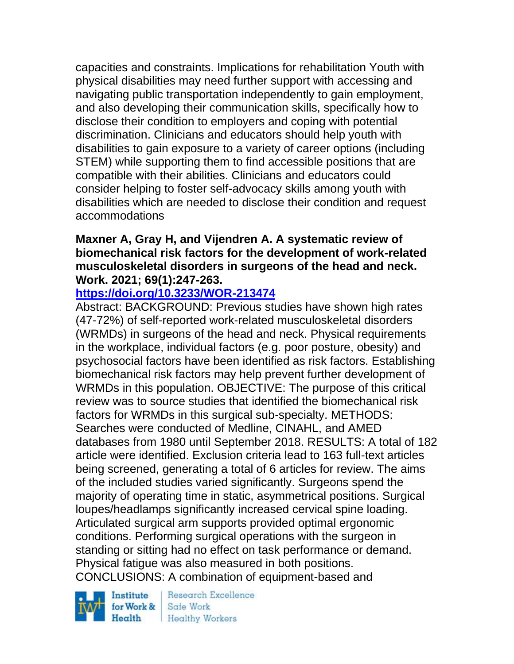capacities and constraints. Implications for rehabilitation Youth with physical disabilities may need further support with accessing and navigating public transportation independently to gain employment, and also developing their communication skills, specifically how to disclose their condition to employers and coping with potential discrimination. Clinicians and educators should help youth with disabilities to gain exposure to a variety of career options (including STEM) while supporting them to find accessible positions that are compatible with their abilities. Clinicians and educators could consider helping to foster self-advocacy skills among youth with disabilities which are needed to disclose their condition and request accommodations

### **Maxner A, Gray H, and Vijendren A. A systematic review of biomechanical risk factors for the development of work-related musculoskeletal disorders in surgeons of the head and neck. Work. 2021; 69(1):247-263.**

# **<https://doi.org/10.3233/WOR-213474>**

Abstract: BACKGROUND: Previous studies have shown high rates (47-72%) of self-reported work-related musculoskeletal disorders (WRMDs) in surgeons of the head and neck. Physical requirements in the workplace, individual factors (e.g. poor posture, obesity) and psychosocial factors have been identified as risk factors. Establishing biomechanical risk factors may help prevent further development of WRMDs in this population. OBJECTIVE: The purpose of this critical review was to source studies that identified the biomechanical risk factors for WRMDs in this surgical sub-specialty. METHODS: Searches were conducted of Medline, CINAHL, and AMED databases from 1980 until September 2018. RESULTS: A total of 182 article were identified. Exclusion criteria lead to 163 full-text articles being screened, generating a total of 6 articles for review. The aims of the included studies varied significantly. Surgeons spend the majority of operating time in static, asymmetrical positions. Surgical loupes/headlamps significantly increased cervical spine loading. Articulated surgical arm supports provided optimal ergonomic conditions. Performing surgical operations with the surgeon in standing or sitting had no effect on task performance or demand. Physical fatigue was also measured in both positions. CONCLUSIONS: A combination of equipment-based and

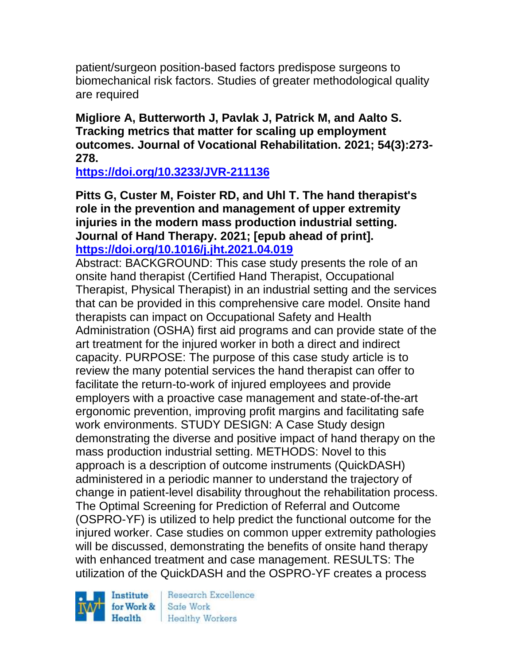patient/surgeon position-based factors predispose surgeons to biomechanical risk factors. Studies of greater methodological quality are required

**Migliore A, Butterworth J, Pavlak J, Patrick M, and Aalto S. Tracking metrics that matter for scaling up employment outcomes. Journal of Vocational Rehabilitation. 2021; 54(3):273- 278.** 

**<https://doi.org/10.3233/JVR-211136>** 

**Pitts G, Custer M, Foister RD, and Uhl T. The hand therapist's role in the prevention and management of upper extremity injuries in the modern mass production industrial setting. Journal of Hand Therapy. 2021; [epub ahead of print]. <https://doi.org/10.1016/j.jht.2021.04.019>** 

Abstract: BACKGROUND: This case study presents the role of an onsite hand therapist (Certified Hand Therapist, Occupational Therapist, Physical Therapist) in an industrial setting and the services that can be provided in this comprehensive care model. Onsite hand therapists can impact on Occupational Safety and Health Administration (OSHA) first aid programs and can provide state of the art treatment for the injured worker in both a direct and indirect capacity. PURPOSE: The purpose of this case study article is to review the many potential services the hand therapist can offer to facilitate the return-to-work of injured employees and provide employers with a proactive case management and state-of-the-art ergonomic prevention, improving profit margins and facilitating safe work environments. STUDY DESIGN: A Case Study design demonstrating the diverse and positive impact of hand therapy on the mass production industrial setting. METHODS: Novel to this approach is a description of outcome instruments (QuickDASH) administered in a periodic manner to understand the trajectory of change in patient-level disability throughout the rehabilitation process. The Optimal Screening for Prediction of Referral and Outcome (OSPRO-YF) is utilized to help predict the functional outcome for the injured worker. Case studies on common upper extremity pathologies will be discussed, demonstrating the benefits of onsite hand therapy with enhanced treatment and case management. RESULTS: The utilization of the QuickDASH and the OSPRO-YF creates a process

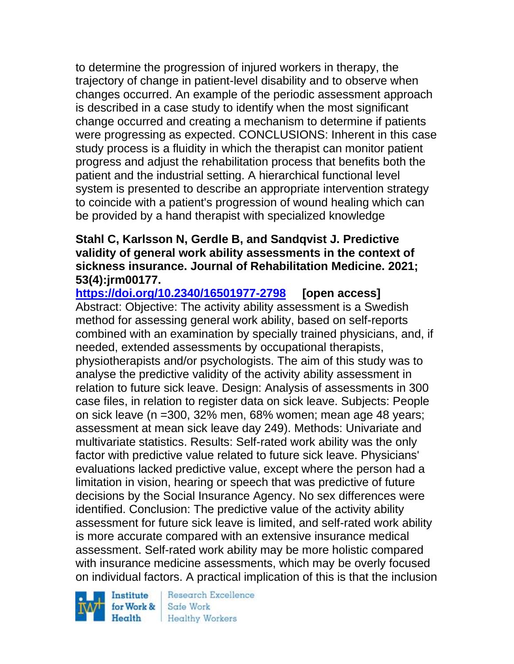to determine the progression of injured workers in therapy, the trajectory of change in patient-level disability and to observe when changes occurred. An example of the periodic assessment approach is described in a case study to identify when the most significant change occurred and creating a mechanism to determine if patients were progressing as expected. CONCLUSIONS: Inherent in this case study process is a fluidity in which the therapist can monitor patient progress and adjust the rehabilitation process that benefits both the patient and the industrial setting. A hierarchical functional level system is presented to describe an appropriate intervention strategy to coincide with a patient's progression of wound healing which can be provided by a hand therapist with specialized knowledge

### **Stahl C, Karlsson N, Gerdle B, and Sandqvist J. Predictive validity of general work ability assessments in the context of sickness insurance. Journal of Rehabilitation Medicine. 2021; 53(4):jrm00177.**

**<https://doi.org/10.2340/16501977-2798> [open access]** Abstract: Objective: The activity ability assessment is a Swedish method for assessing general work ability, based on self-reports combined with an examination by specially trained physicians, and, if needed, extended assessments by occupational therapists, physiotherapists and/or psychologists. The aim of this study was to analyse the predictive validity of the activity ability assessment in relation to future sick leave. Design: Analysis of assessments in 300 case files, in relation to register data on sick leave. Subjects: People on sick leave (n =300, 32% men, 68% women; mean age 48 years; assessment at mean sick leave day 249). Methods: Univariate and multivariate statistics. Results: Self-rated work ability was the only factor with predictive value related to future sick leave. Physicians' evaluations lacked predictive value, except where the person had a limitation in vision, hearing or speech that was predictive of future decisions by the Social Insurance Agency. No sex differences were identified. Conclusion: The predictive value of the activity ability assessment for future sick leave is limited, and self-rated work ability is more accurate compared with an extensive insurance medical assessment. Self-rated work ability may be more holistic compared with insurance medicine assessments, which may be overly focused on individual factors. A practical implication of this is that the inclusion



**Research Excellence** Safe Work **Healthy Workers**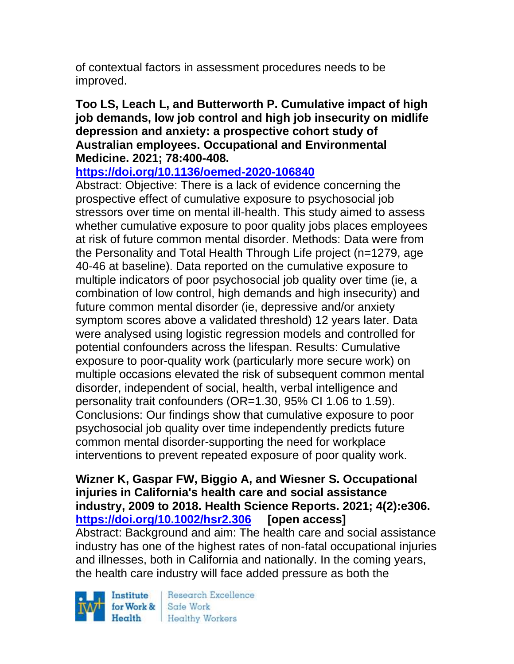of contextual factors in assessment procedures needs to be improved.

#### **Too LS, Leach L, and Butterworth P. Cumulative impact of high job demands, low job control and high job insecurity on midlife depression and anxiety: a prospective cohort study of Australian employees. Occupational and Environmental Medicine. 2021; 78:400-408.**

**<https://doi.org/10.1136/oemed-2020-106840>** 

Abstract: Objective: There is a lack of evidence concerning the prospective effect of cumulative exposure to psychosocial job stressors over time on mental ill-health. This study aimed to assess whether cumulative exposure to poor quality jobs places employees at risk of future common mental disorder. Methods: Data were from the Personality and Total Health Through Life project (n=1279, age 40-46 at baseline). Data reported on the cumulative exposure to multiple indicators of poor psychosocial job quality over time (ie, a combination of low control, high demands and high insecurity) and future common mental disorder (ie, depressive and/or anxiety symptom scores above a validated threshold) 12 years later. Data were analysed using logistic regression models and controlled for potential confounders across the lifespan. Results: Cumulative exposure to poor-quality work (particularly more secure work) on multiple occasions elevated the risk of subsequent common mental disorder, independent of social, health, verbal intelligence and personality trait confounders (OR=1.30, 95% CI 1.06 to 1.59). Conclusions: Our findings show that cumulative exposure to poor psychosocial job quality over time independently predicts future common mental disorder-supporting the need for workplace interventions to prevent repeated exposure of poor quality work.

**Wizner K, Gaspar FW, Biggio A, and Wiesner S. Occupational injuries in California's health care and social assistance industry, 2009 to 2018. Health Science Reports. 2021; 4(2):e306. <https://doi.org/10.1002/hsr2.306> [open access]** Abstract: Background and aim: The health care and social assistance industry has one of the highest rates of non-fatal occupational injuries and illnesses, both in California and nationally. In the coming years, the health care industry will face added pressure as both the

Institute Health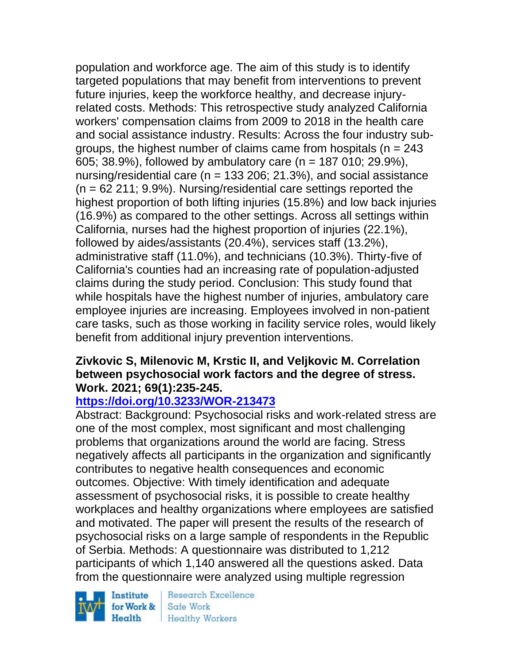population and workforce age. The aim of this study is to identify targeted populations that may benefit from interventions to prevent future injuries, keep the workforce healthy, and decrease injuryrelated costs. Methods: This retrospective study analyzed California workers' compensation claims from 2009 to 2018 in the health care and social assistance industry. Results: Across the four industry subgroups, the highest number of claims came from hospitals ( $n = 243$ ) 605; 38.9%), followed by ambulatory care (n = 187 010; 29.9%), nursing/residential care ( $n = 133$  206; 21.3%), and social assistance  $(n = 62211; 9.9%)$ . Nursing/residential care settings reported the highest proportion of both lifting injuries (15.8%) and low back injuries (16.9%) as compared to the other settings. Across all settings within California, nurses had the highest proportion of injuries (22.1%), followed by aides/assistants (20.4%), services staff (13.2%), administrative staff (11.0%), and technicians (10.3%). Thirty-five of California's counties had an increasing rate of population-adjusted claims during the study period. Conclusion: This study found that while hospitals have the highest number of injuries, ambulatory care employee injuries are increasing. Employees involved in non-patient care tasks, such as those working in facility service roles, would likely benefit from additional injury prevention interventions.

### **Zivkovic S, Milenovic M, Krstic II, and Veljkovic M. Correlation between psychosocial work factors and the degree of stress. Work. 2021; 69(1):235-245.**

# **<https://doi.org/10.3233/WOR-213473>**

Abstract: Background: Psychosocial risks and work-related stress are one of the most complex, most significant and most challenging problems that organizations around the world are facing. Stress negatively affects all participants in the organization and significantly contributes to negative health consequences and economic outcomes. Objective: With timely identification and adequate assessment of psychosocial risks, it is possible to create healthy workplaces and healthy organizations where employees are satisfied and motivated. The paper will present the results of the research of psychosocial risks on a large sample of respondents in the Republic of Serbia. Methods: A questionnaire was distributed to 1,212 participants of which 1,140 answered all the questions asked. Data from the questionnaire were analyzed using multiple regression